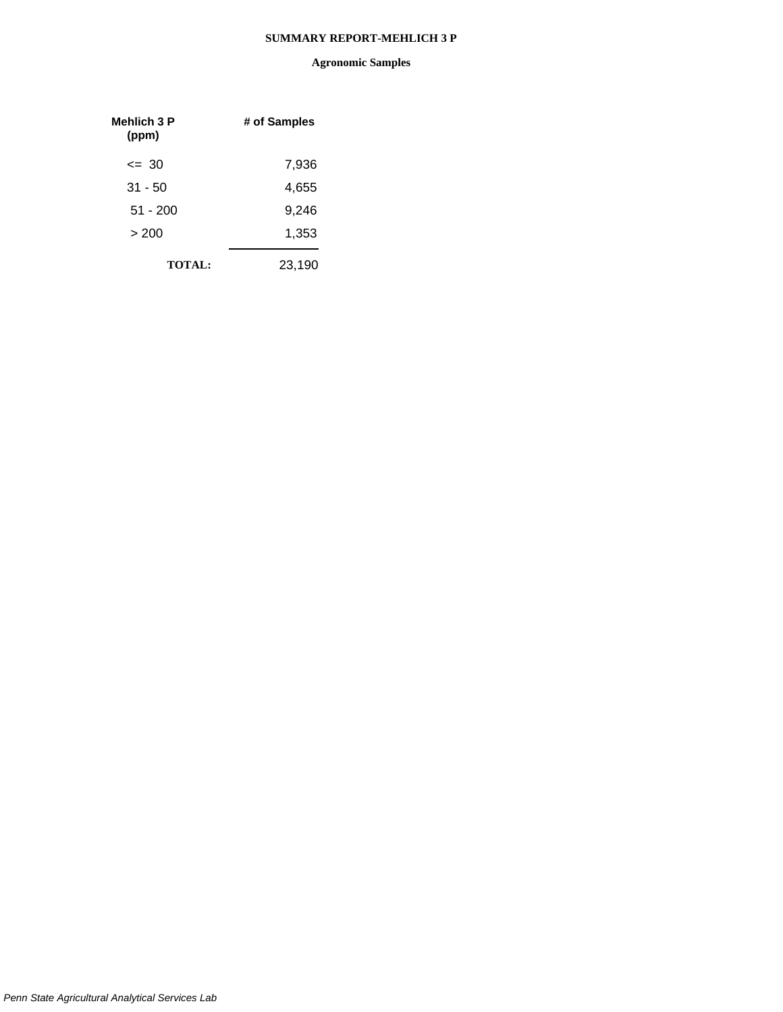| Mehlich 3 P<br>(ppm) | # of Samples |
|----------------------|--------------|
| $\leq$ 30            | 7,936        |
| $31 - 50$            | 4,655        |
| 51 - 200             | 9.246        |
| >200                 | 1,353        |
| <b>TOTAL:</b>        | 23,190       |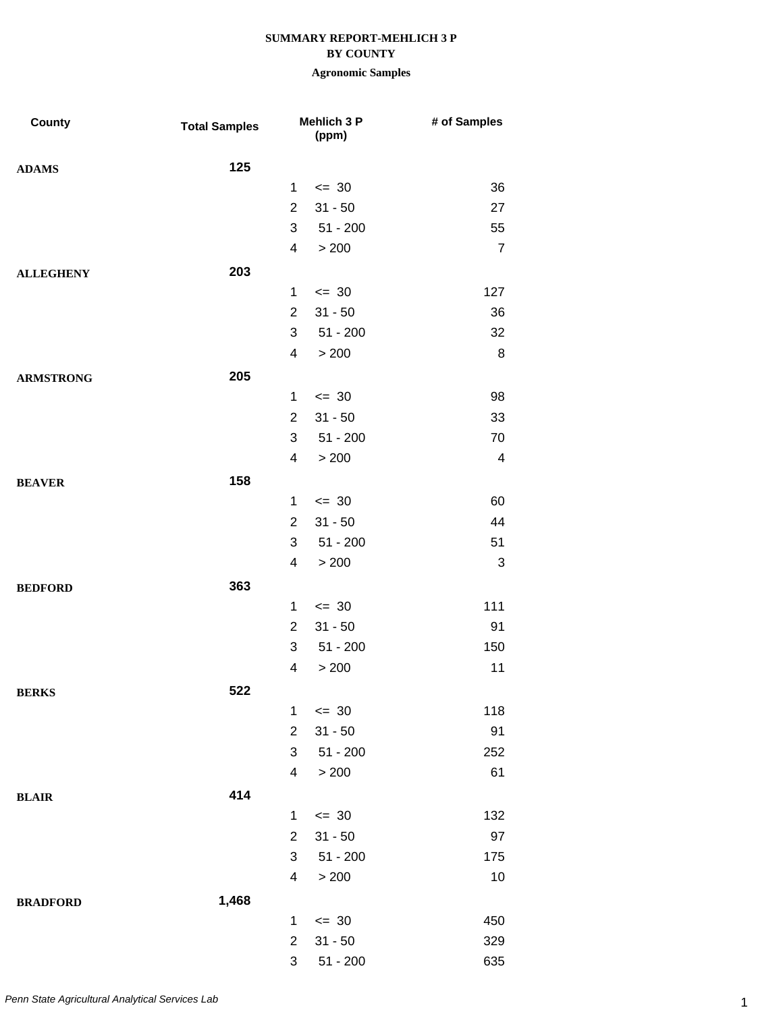#### **BY COUNTY**

| County           | <b>Total Samples</b> |                          | <b>Mehlich 3 P</b><br>(ppm) | # of Samples             |
|------------------|----------------------|--------------------------|-----------------------------|--------------------------|
| <b>ADAMS</b>     | 125                  |                          |                             |                          |
|                  |                      | $\mathbf{1}$             | $= 30$                      | 36                       |
|                  |                      | $\overline{2}$           | $31 - 50$                   | 27                       |
|                  |                      | 3                        | $51 - 200$                  | 55                       |
|                  |                      | $\overline{4}$           | > 200                       | $\overline{7}$           |
| <b>ALLEGHENY</b> | 203                  |                          |                             |                          |
|                  |                      | $\mathbf{1}$             | $\leq$ 30                   | 127                      |
|                  |                      | $\overline{2}$           | $31 - 50$                   | 36                       |
|                  |                      | 3                        | $51 - 200$                  | 32                       |
|                  |                      | $\overline{\mathcal{A}}$ | > 200                       | 8                        |
| <b>ARMSTRONG</b> | 205                  |                          |                             |                          |
|                  |                      | $\mathbf{1}$             | $\leq$ 30                   | 98                       |
|                  |                      | $\overline{2}$           | $31 - 50$                   | 33                       |
|                  |                      | 3                        | $51 - 200$                  | 70                       |
|                  |                      | $\overline{\mathcal{A}}$ | > 200                       | $\overline{\mathcal{A}}$ |
| <b>BEAVER</b>    | 158                  |                          |                             |                          |
|                  |                      | $\mathbf{1}$             | $= 30$                      | 60                       |
|                  |                      | $\overline{2}$           | $31 - 50$                   | 44                       |
|                  |                      | 3                        | $51 - 200$                  | 51                       |
|                  |                      | 4                        | > 200                       | 3                        |
| <b>BEDFORD</b>   | 363                  |                          |                             |                          |
|                  |                      | $\mathbf{1}$             | $= 30$                      | 111                      |
|                  |                      | $\overline{2}$           | $31 - 50$                   | 91                       |
|                  |                      | 3                        | $51 - 200$                  | 150                      |
|                  |                      | 4                        | > 200                       | 11                       |
| <b>BERKS</b>     | 522                  |                          |                             |                          |
|                  |                      | $\mathbf{1}$             | $\leq$ 30                   | 118                      |
|                  |                      | $\overline{2}$           | $31 - 50$                   | 91                       |
|                  |                      | 3                        | $51 - 200$                  | 252                      |
|                  |                      | $\overline{\mathcal{A}}$ | > 200                       | 61                       |
| <b>BLAIR</b>     | 414                  |                          |                             |                          |
|                  |                      | $\mathbf{1}$             | $= 30$                      | 132                      |
|                  |                      | $\overline{2}$           | $31 - 50$                   | 97                       |
|                  |                      | 3                        | $51 - 200$                  | 175                      |
|                  |                      | $\overline{4}$           | > 200                       | 10                       |
| <b>BRADFORD</b>  | 1,468                |                          |                             |                          |
|                  |                      | $\mathbf 1$              | $= 30$                      | 450                      |
|                  |                      | $\overline{2}$           | $31 - 50$                   | 329                      |
|                  |                      | 3                        | $51 - 200$                  | 635                      |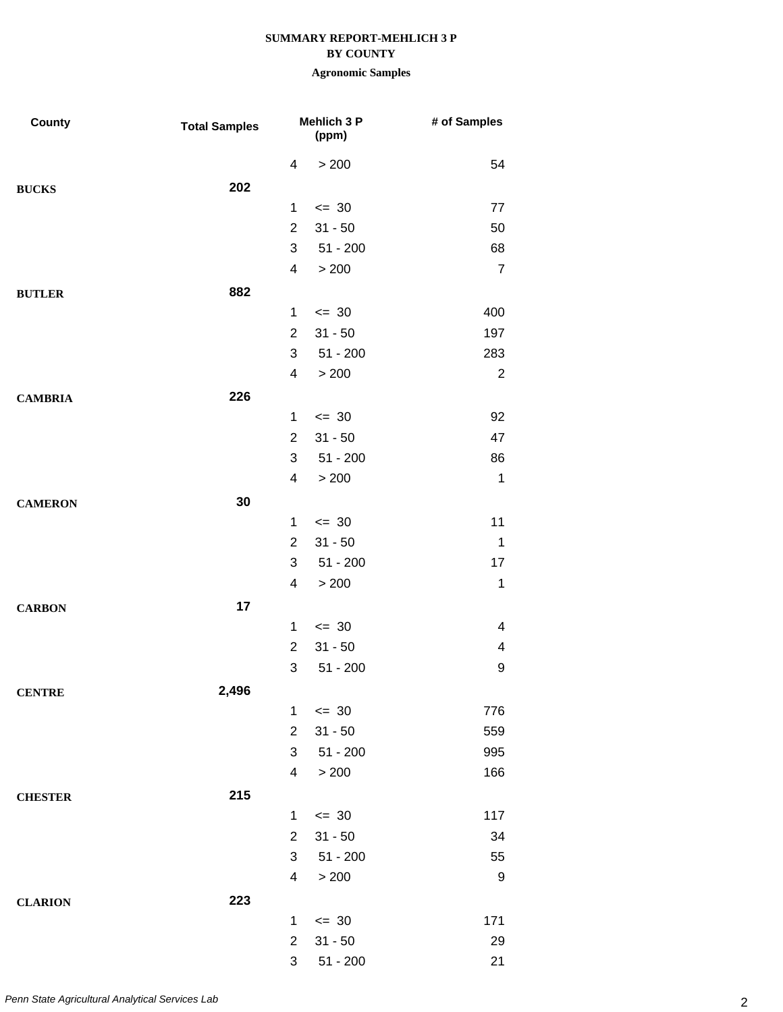### **BY COUNTY**

| County         | <b>Total Samples</b> |                | <b>Mehlich 3 P</b><br>(ppm) | # of Samples   |
|----------------|----------------------|----------------|-----------------------------|----------------|
|                |                      | 4              | > 200                       | 54             |
| <b>BUCKS</b>   | 202                  |                |                             |                |
|                |                      | 1              | $= 30$                      | 77             |
|                |                      | $\overline{2}$ | $31 - 50$                   | 50             |
|                |                      | 3              | $51 - 200$                  | 68             |
|                |                      | 4              | > 200                       | $\overline{7}$ |
| <b>BUTLER</b>  | 882                  |                |                             |                |
|                |                      | $\mathbf{1}$   | $\leq$ 30                   | 400            |
|                |                      | $\overline{2}$ | $31 - 50$                   | 197            |
|                |                      | 3              | $51 - 200$                  | 283            |
|                |                      | 4              | > 200                       | $\overline{2}$ |
| <b>CAMBRIA</b> | 226                  |                |                             |                |
|                |                      | $\mathbf 1$    | $\leq$ 30                   | 92             |
|                |                      | $\overline{2}$ | $31 - 50$                   | 47             |
|                |                      | 3              | $51 - 200$                  | 86             |
|                |                      | $\overline{4}$ | > 200                       | $\mathbf 1$    |
| <b>CAMERON</b> | 30                   |                |                             |                |
|                |                      | 1              | $= 30$                      | 11             |
|                |                      | $\overline{2}$ | $31 - 50$                   | $\mathbf 1$    |
|                |                      | 3              | $51 - 200$                  | 17             |
|                |                      | 4              | > 200                       | $\mathbf{1}$   |
| <b>CARBON</b>  | 17                   |                |                             |                |
|                |                      | $\mathbf 1$    | $\leq$ 30                   | 4              |
|                |                      | $\overline{2}$ | $31 - 50$                   | 4              |
|                |                      | 3              | $51 - 200$                  | 9              |
| <b>CENTRE</b>  | 2,496                |                |                             |                |
|                |                      | 1              | $\leq$ 30                   | 776            |
|                |                      | $\overline{2}$ | $31 - 50$                   | 559            |
|                |                      | 3              | $51 - 200$                  | 995            |
|                |                      | 4              | > 200                       | 166            |
| <b>CHESTER</b> | 215                  |                |                             |                |
|                |                      | $\mathbf 1$    | $\leq$ 30                   | 117            |
|                |                      | $\overline{2}$ | $31 - 50$                   | 34             |
|                |                      | 3              | $51 - 200$                  | 55             |
|                |                      | $\overline{4}$ | > 200                       | $9\,$          |
| <b>CLARION</b> | 223                  |                |                             |                |
|                |                      | 1              | $\leq$ 30                   | 171            |
|                |                      | $\overline{2}$ | $31 - 50$                   | 29             |
|                |                      | 3              | $51 - 200$                  | 21             |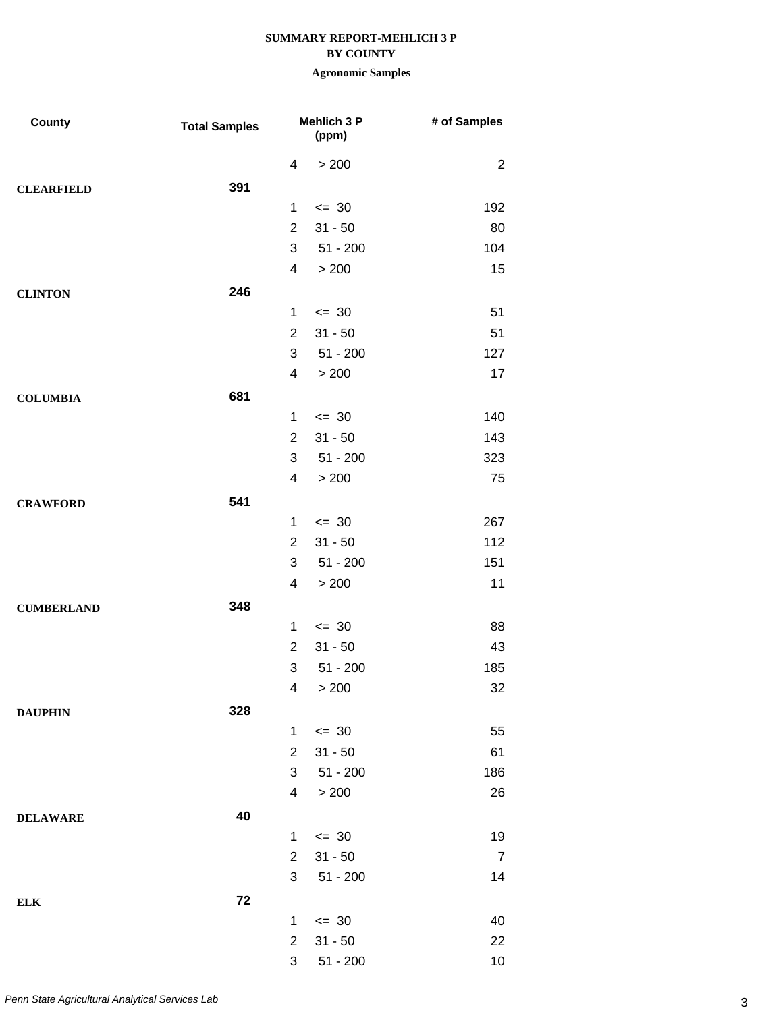### **BY COUNTY**

| County            | <b>Total Samples</b> |                          | <b>Mehlich 3 P</b><br>(ppm) | # of Samples   |
|-------------------|----------------------|--------------------------|-----------------------------|----------------|
|                   |                      | 4                        | > 200                       | $\overline{2}$ |
| <b>CLEARFIELD</b> | 391                  |                          |                             |                |
|                   |                      | 1                        | $= 30$                      | 192            |
|                   |                      | $\overline{2}$           | $31 - 50$                   | 80             |
|                   |                      | 3                        | $51 - 200$                  | 104            |
|                   |                      | 4                        | > 200                       | 15             |
| <b>CLINTON</b>    | 246                  |                          |                             |                |
|                   |                      | 1                        | $\leq$ 30                   | 51             |
|                   |                      | $\overline{2}$           | $31 - 50$                   | 51             |
|                   |                      | 3                        | $51 - 200$                  | 127            |
|                   |                      | 4                        | > 200                       | 17             |
| <b>COLUMBIA</b>   | 681                  |                          |                             |                |
|                   |                      | 1                        | $\leq$ 30                   | 140            |
|                   |                      | $\overline{2}$           | $31 - 50$                   | 143            |
|                   |                      | 3                        | $51 - 200$                  | 323            |
|                   |                      | 4                        | > 200                       | 75             |
| <b>CRAWFORD</b>   | 541                  |                          |                             |                |
|                   |                      | 1                        | $\leq$ 30                   | 267            |
|                   |                      | $\overline{2}$           | $31 - 50$                   | 112            |
|                   |                      | 3                        | $51 - 200$                  | 151            |
|                   |                      | 4                        | > 200                       | 11             |
| <b>CUMBERLAND</b> | 348                  |                          |                             |                |
|                   |                      | $\mathbf{1}$             | $\leq$ 30                   | 88             |
|                   |                      | $\overline{2}$           | $31 - 50$                   | 43             |
|                   |                      | 3                        | $51 - 200$                  | 185            |
|                   |                      |                          | 4 > 200                     | 32             |
| <b>DAUPHIN</b>    | 328                  |                          |                             |                |
|                   |                      | $\mathbf{1}$             | $\leq$ 30                   | 55             |
|                   |                      | $\overline{2}$           | $31 - 50$                   | 61             |
|                   |                      | 3                        | $51 - 200$                  | 186            |
|                   |                      | $\overline{\mathcal{A}}$ | > 200                       | 26             |
| <b>DELAWARE</b>   | 40                   |                          |                             |                |
|                   |                      | 1                        | $\leq$ 30                   | 19             |
|                   |                      | $\overline{2}$           | $31 - 50$                   | $\overline{7}$ |
|                   |                      | 3                        | $51 - 200$                  | 14             |
| <b>ELK</b>        | 72                   |                          |                             |                |
|                   |                      | $\mathbf 1$              | $\leq$ 30                   | 40             |
|                   |                      | $\overline{2}$           | $31 - 50$                   | 22             |
|                   |                      | 3                        | $51 - 200$                  | 10             |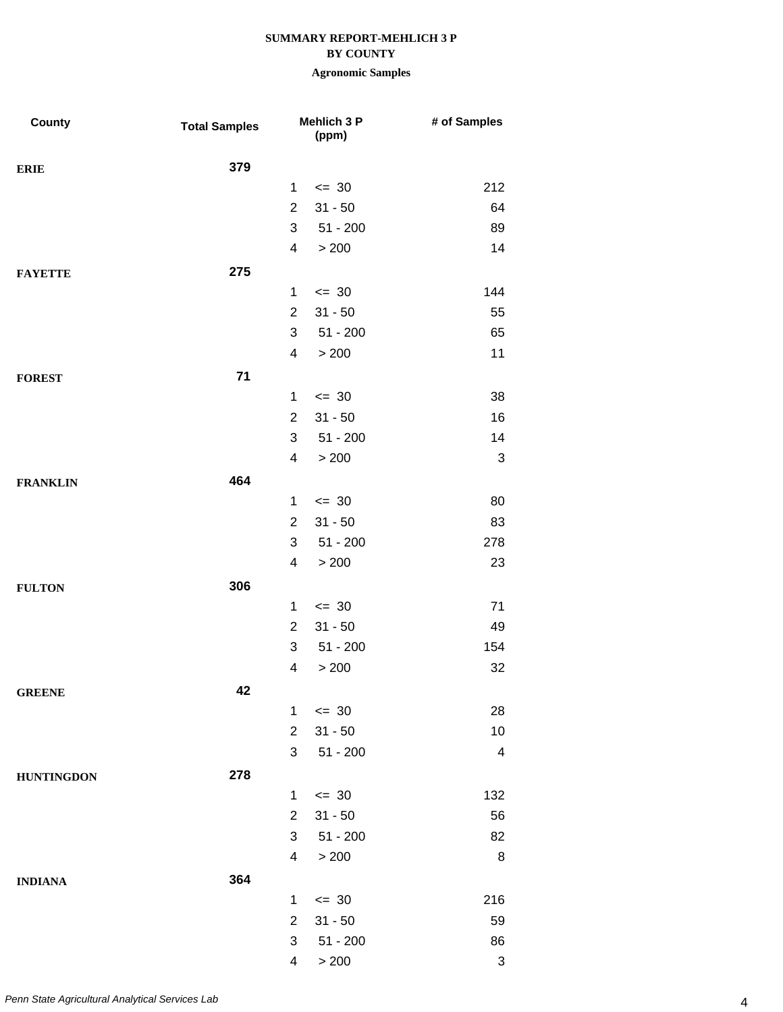## **BY COUNTY**

| County            | <b>Total Samples</b> |                | Mehlich 3 P<br>(ppm) | # of Samples |
|-------------------|----------------------|----------------|----------------------|--------------|
| <b>ERIE</b>       | 379                  |                |                      |              |
|                   |                      | $\mathbf{1}$   | $= 30$               | 212          |
|                   |                      | $\overline{2}$ | $31 - 50$            | 64           |
|                   |                      | 3              | $51 - 200$           | 89           |
|                   |                      | 4              | > 200                | 14           |
| <b>FAYETTE</b>    | 275                  |                |                      |              |
|                   |                      | $\mathbf{1}$   | $\leq$ 30            | 144          |
|                   |                      | $\overline{2}$ | $31 - 50$            | 55           |
|                   |                      | 3              | $51 - 200$           | 65           |
|                   |                      | 4              | > 200                | 11           |
| <b>FOREST</b>     | 71                   |                |                      |              |
|                   |                      | $\mathbf{1}$   | $\leq$ 30            | 38           |
|                   |                      | $\overline{2}$ | $31 - 50$            | 16           |
|                   |                      | 3              | $51 - 200$           | 14           |
|                   |                      | 4              | > 200                | 3            |
| <b>FRANKLIN</b>   | 464                  |                |                      |              |
|                   |                      | $\mathbf{1}$   | $\leq$ 30            | 80           |
|                   |                      | $\overline{2}$ | $31 - 50$            | 83           |
|                   |                      | 3              | $51 - 200$           | 278          |
|                   |                      | 4              | > 200                | 23           |
| <b>FULTON</b>     | 306                  |                |                      |              |
|                   |                      | $\mathbf 1$    | $\leq$ 30            | 71           |
|                   |                      | $\overline{2}$ | $31 - 50$            | 49           |
|                   |                      | 3              | $51 - 200$           | 154          |
|                   |                      | 4              | > 200                | 32           |
| <b>GREENE</b>     | 42                   |                |                      |              |
|                   |                      | $\mathbf{1}$   | $\leq$ 30            | 28           |
|                   |                      | $\overline{2}$ | $31 - 50$            | 10           |
|                   |                      | 3              | $51 - 200$           | 4            |
| <b>HUNTINGDON</b> | 278                  |                |                      |              |
|                   |                      | $\mathbf{1}$   | $\leq$ 30            | 132          |
|                   |                      | $\overline{2}$ | $31 - 50$            | 56           |
|                   |                      | 3              | $51 - 200$           | 82           |
|                   |                      | 4              | > 200                | 8            |
| <b>INDIANA</b>    | 364                  |                |                      |              |
|                   |                      | $\mathbf 1$    | $\leq$ 30            | 216          |
|                   |                      | $\overline{2}$ | $31 - 50$            | 59           |
|                   |                      | 3              | $51 - 200$           | 86           |
|                   |                      | 4              | > 200                | 3            |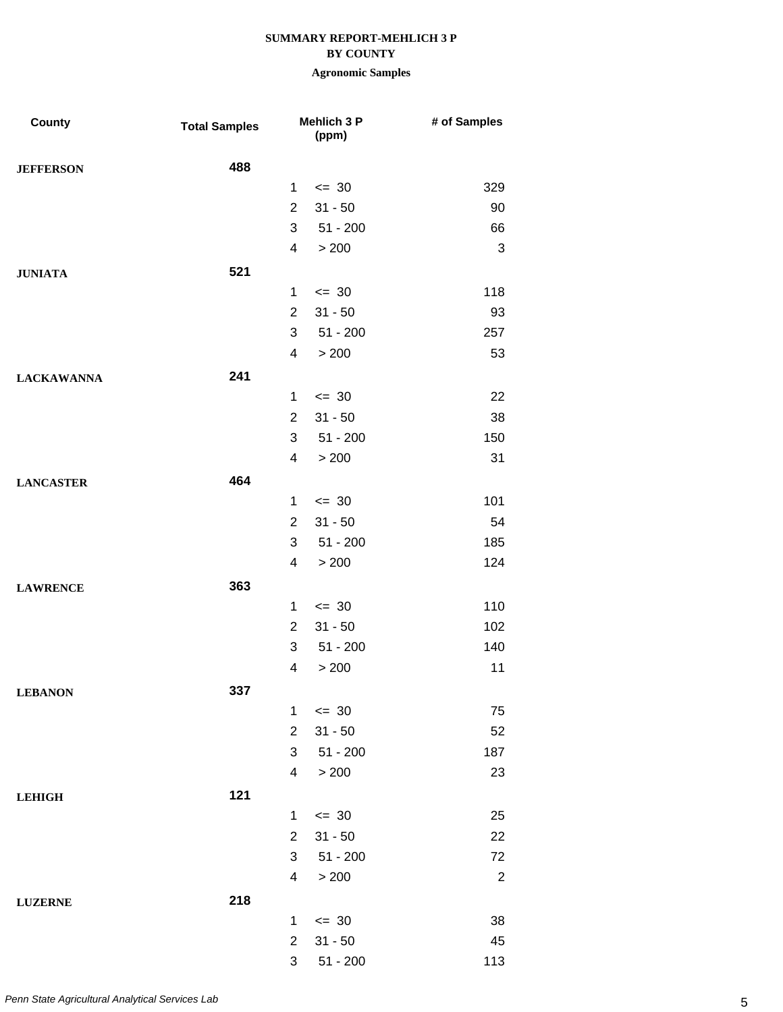## **BY COUNTY**

| <b>County</b>     | <b>Total Samples</b> |                | <b>Mehlich 3 P</b><br>(ppm) | # of Samples   |
|-------------------|----------------------|----------------|-----------------------------|----------------|
| <b>JEFFERSON</b>  | 488                  |                |                             |                |
|                   |                      | $\mathbf{1}$   | $\leq$ 30                   | 329            |
|                   |                      | $\overline{2}$ | $31 - 50$                   | 90             |
|                   |                      | 3              | $51 - 200$                  | 66             |
|                   |                      | $\overline{4}$ | > 200                       | 3              |
| <b>JUNIATA</b>    | 521                  |                |                             |                |
|                   |                      | $\mathbf 1$    | $= 30$                      | 118            |
|                   |                      | $\overline{2}$ | $31 - 50$                   | 93             |
|                   |                      | 3              | $51 - 200$                  | 257            |
|                   |                      | 4              | > 200                       | 53             |
| <b>LACKAWANNA</b> | 241                  |                |                             |                |
|                   |                      | $\mathbf{1}$   | $\leq$ 30                   | 22             |
|                   |                      | $\overline{2}$ | $31 - 50$                   | 38             |
|                   |                      | 3              | $51 - 200$                  | 150            |
|                   |                      | $\overline{4}$ | > 200                       | 31             |
| <b>LANCASTER</b>  | 464                  |                |                             |                |
|                   |                      | $\mathbf{1}$   | $\leq$ 30                   | 101            |
|                   |                      | $\overline{2}$ | $31 - 50$                   | 54             |
|                   |                      | 3              | $51 - 200$                  | 185            |
|                   |                      | $\overline{4}$ | > 200                       | 124            |
| <b>LAWRENCE</b>   | 363                  |                |                             |                |
|                   |                      | 1              | $\leq$ 30                   | 110            |
|                   |                      | $\overline{2}$ | $31 - 50$                   | 102            |
|                   |                      | 3              | $51 - 200$                  | 140            |
|                   |                      | 4              | > 200                       | 11             |
| <b>LEBANON</b>    | 337                  |                |                             |                |
|                   |                      | $\mathbf{1}$   | $= 30$                      | 75             |
|                   |                      | $\overline{2}$ | $31 - 50$                   | 52             |
|                   |                      | 3              | $51 - 200$                  | 187            |
|                   |                      | $\overline{4}$ | > 200                       | 23             |
| <b>LEHIGH</b>     | 121                  |                |                             |                |
|                   |                      | $\mathbf{1}$   | $\leq$ 30                   | 25             |
|                   |                      | $\overline{2}$ | $31 - 50$                   | 22             |
|                   |                      | 3              | $51 - 200$                  | 72             |
|                   |                      | $\overline{4}$ | > 200                       | $\overline{2}$ |
| <b>LUZERNE</b>    | 218                  |                |                             |                |
|                   |                      | 1              | $\leq$ 30                   | 38             |
|                   |                      | $\overline{2}$ | $31 - 50$                   | 45             |
|                   |                      | 3              | $51 - 200$                  | 113            |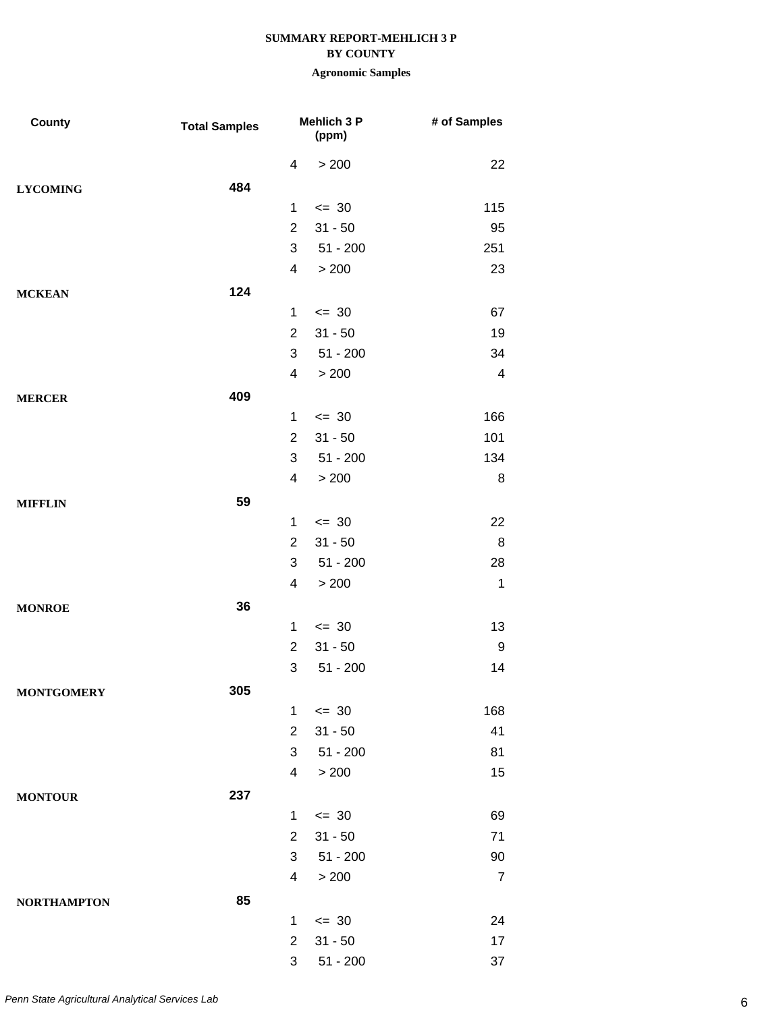#### **BY COUNTY**

| County             | <b>Total Samples</b> |                          | Mehlich 3 P<br>(ppm) | # of Samples            |
|--------------------|----------------------|--------------------------|----------------------|-------------------------|
|                    |                      | 4                        | > 200                | 22                      |
| <b>LYCOMING</b>    | 484                  |                          |                      |                         |
|                    |                      | $\mathbf 1$              | $= 30$               | 115                     |
|                    |                      | $\overline{2}$           | $31 - 50$            | 95                      |
|                    |                      | 3                        | $51 - 200$           | 251                     |
|                    |                      | 4                        | > 200                | 23                      |
| <b>MCKEAN</b>      | 124                  |                          |                      |                         |
|                    |                      | $\mathbf{1}$             | $= 30$               | 67                      |
|                    |                      | $\overline{2}$           | $31 - 50$            | 19                      |
|                    |                      | 3                        | $51 - 200$           | 34                      |
|                    |                      | $\overline{\mathcal{A}}$ | > 200                | $\overline{\mathbf{4}}$ |
| <b>MERCER</b>      | 409                  |                          |                      |                         |
|                    |                      | $\mathbf{1}$             | $= 30$               | 166                     |
|                    |                      | $\overline{2}$           | $31 - 50$            | 101                     |
|                    |                      | 3                        | $51 - 200$           | 134                     |
|                    |                      | 4                        | > 200                | 8                       |
| <b>MIFFLIN</b>     | 59                   |                          |                      |                         |
|                    |                      | $\mathbf{1}$             | $\leq$ 30            | 22                      |
|                    |                      | $\overline{2}$           | $31 - 50$            | 8                       |
|                    |                      | 3                        | $51 - 200$           | 28                      |
|                    |                      | 4                        | > 200                | $\mathbf 1$             |
| <b>MONROE</b>      | 36                   |                          |                      |                         |
|                    |                      | $\mathbf 1$              | $= 30$               | 13                      |
|                    |                      | $\overline{2}$           | $31 - 50$            | 9                       |
|                    |                      | 3                        | $51 - 200$           | 14                      |
| <b>MONTGOMERY</b>  | 305                  |                          |                      |                         |
|                    |                      | $\mathbf{1}$             | $= 30$               | 168                     |
|                    |                      | $\overline{2}$           | $31 - 50$            | 41                      |
|                    |                      | 3                        | $51 - 200$           | 81                      |
|                    |                      | 4                        | > 200                | 15                      |
| <b>MONTOUR</b>     | 237                  |                          |                      |                         |
|                    |                      | $\mathbf{1}$             | $= 30$               | 69                      |
|                    |                      | $\overline{2}$           | $31 - 50$            | 71                      |
|                    |                      | 3                        | $51 - 200$           | 90                      |
|                    |                      | 4                        | > 200                | $\overline{7}$          |
| <b>NORTHAMPTON</b> | 85                   |                          |                      |                         |
|                    |                      | $\mathbf 1$              | $\leq$ 30            | 24                      |
|                    |                      | $\overline{2}$           | $31 - 50$            | 17                      |
|                    |                      | 3                        | $51 - 200$           | 37                      |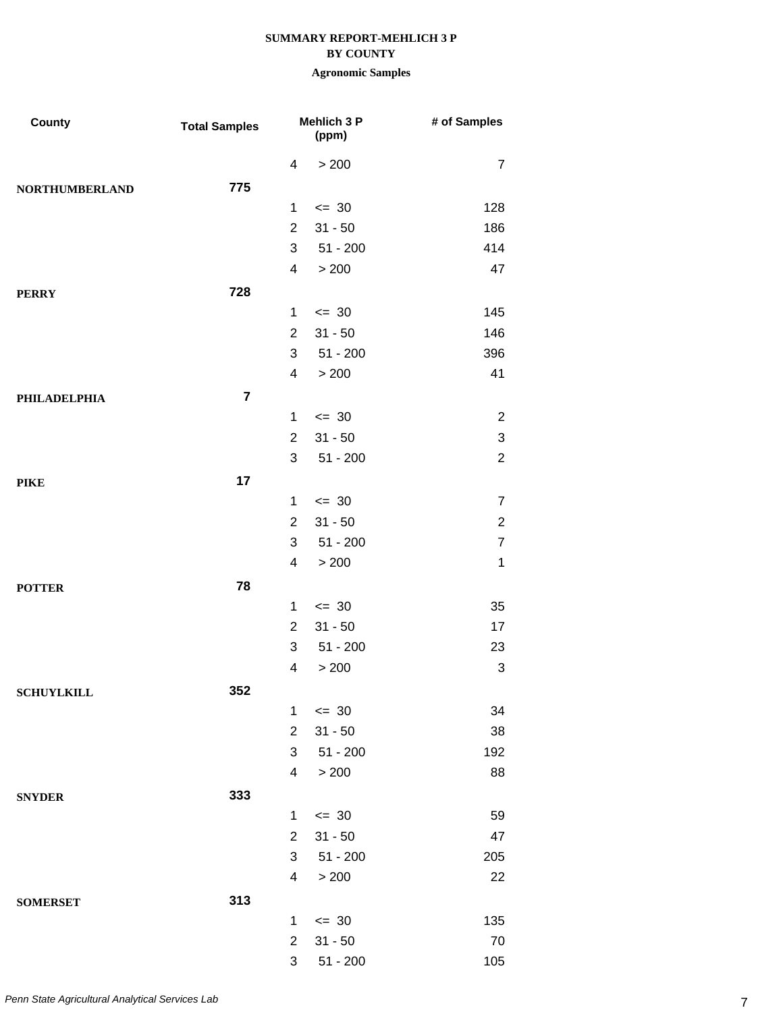### **BY COUNTY**

| County                | <b>Total Samples</b> |                | <b>Mehlich 3 P</b><br>(ppm) | # of Samples              |
|-----------------------|----------------------|----------------|-----------------------------|---------------------------|
|                       |                      | 4              | > 200                       | $\overline{7}$            |
| <b>NORTHUMBERLAND</b> | 775                  |                |                             |                           |
|                       |                      | $\mathbf 1$    | $\leq$ 30                   | 128                       |
|                       |                      | $\overline{2}$ | $31 - 50$                   | 186                       |
|                       |                      | 3              | $51 - 200$                  | 414                       |
|                       |                      | $\overline{4}$ | > 200                       | 47                        |
| <b>PERRY</b>          | 728                  |                |                             |                           |
|                       |                      | $\mathbf{1}$   | $\leq$ 30                   | 145                       |
|                       |                      | $\overline{2}$ | $31 - 50$                   | 146                       |
|                       |                      | 3              | $51 - 200$                  | 396                       |
|                       |                      | $\overline{4}$ | > 200                       | 41                        |
| PHILADELPHIA          | $\overline{7}$       |                |                             |                           |
|                       |                      | $\mathbf{1}$   | $= 30$                      | $\overline{2}$            |
|                       |                      | $\overline{2}$ | $31 - 50$                   | $\ensuremath{\mathsf{3}}$ |
|                       |                      | 3              | $51 - 200$                  | $\overline{2}$            |
| <b>PIKE</b>           | 17                   |                |                             |                           |
|                       |                      | $\mathbf{1}$   | $\leq$ 30                   | $\overline{7}$            |
|                       |                      | $\overline{2}$ | $31 - 50$                   | $\overline{2}$            |
|                       |                      | 3              | $51 - 200$                  | $\overline{7}$            |
|                       |                      | 4              | > 200                       | $\mathbf 1$               |
| <b>POTTER</b>         | 78                   |                |                             |                           |
|                       |                      | $\mathbf 1$    | $= 30$                      | 35                        |
|                       |                      | $\overline{2}$ | $31 - 50$                   | 17                        |
|                       |                      | 3              | $51 - 200$                  | 23                        |
|                       |                      | 4              | > 200                       | $\sqrt{3}$                |
| <b>SCHUYLKILL</b>     | 352                  |                |                             |                           |
|                       |                      | $\mathbf{1}$   | $\leq$ 30                   | 34                        |
|                       |                      | $\overline{2}$ | $31 - 50$                   | 38                        |
|                       |                      | 3              | $51 - 200$                  | 192                       |
|                       |                      | $\overline{4}$ | > 200                       | 88                        |
| <b>SNYDER</b>         | 333                  |                |                             |                           |
|                       |                      | 1              | $\leq$ 30                   | 59                        |
|                       |                      | $\overline{2}$ | $31 - 50$                   | 47                        |
|                       |                      | 3              | $51 - 200$                  | 205                       |
|                       |                      | 4              | > 200                       | 22                        |
| <b>SOMERSET</b>       | 313                  |                |                             |                           |
|                       |                      | $\mathbf 1$    | $\leq$ 30                   | 135                       |
|                       |                      | $\overline{2}$ | $31 - 50$                   | 70                        |
|                       |                      | 3              | $51 - 200$                  | 105                       |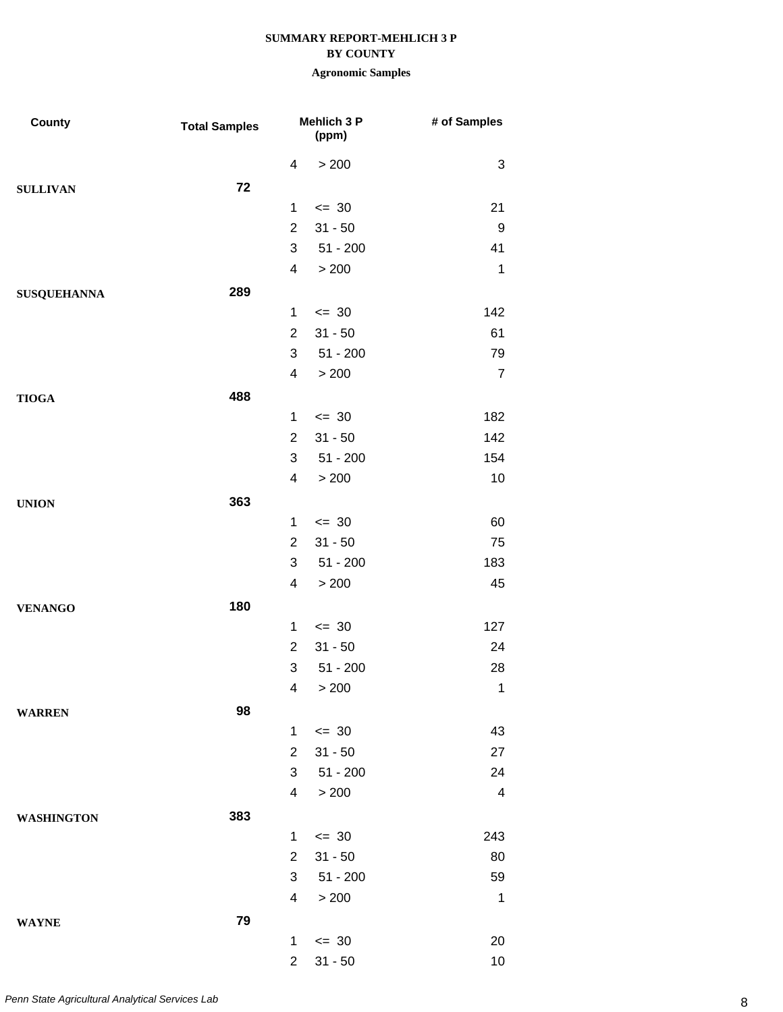### **BY COUNTY**

| <b>County</b>      | <b>Total Samples</b> |                | <b>Mehlich 3 P</b><br>(ppm) | # of Samples   |
|--------------------|----------------------|----------------|-----------------------------|----------------|
|                    |                      | 4              | > 200                       | 3              |
| <b>SULLIVAN</b>    | 72                   |                |                             |                |
|                    |                      | 1              | $\leq$ 30                   | 21             |
|                    |                      | $\overline{2}$ | $31 - 50$                   | 9              |
|                    |                      | 3              | $51 - 200$                  | 41             |
|                    |                      | 4              | > 200                       | $\mathbf 1$    |
| <b>SUSQUEHANNA</b> | 289                  |                |                             |                |
|                    |                      | 1              | $= 30$                      | 142            |
|                    |                      | $\overline{2}$ | $31 - 50$                   | 61             |
|                    |                      | 3              | $51 - 200$                  | 79             |
|                    |                      | 4              | > 200                       | $\overline{7}$ |
| <b>TIOGA</b>       | 488                  |                |                             |                |
|                    |                      | 1              | $= 30$                      | 182            |
|                    |                      | $\overline{2}$ | $31 - 50$                   | 142            |
|                    |                      | 3              | $51 - 200$                  | 154            |
|                    |                      | 4              | > 200                       | $10$           |
| <b>UNION</b>       | 363                  |                |                             |                |
|                    |                      | 1              | $\leq$ 30                   | 60             |
|                    |                      | $\overline{2}$ | $31 - 50$                   | 75             |
|                    |                      | 3              | $51 - 200$                  | 183            |
|                    |                      | 4              | > 200                       | 45             |
| <b>VENANGO</b>     | 180                  |                |                             |                |
|                    |                      | 1              | $= 30$                      | 127            |
|                    |                      | $\overline{2}$ | $31 - 50$                   | 24             |
|                    |                      | 3              | $51 - 200$                  | 28             |
|                    |                      |                | 4 > 200                     | $\overline{1}$ |
| <b>WARREN</b>      | 98                   |                |                             |                |
|                    |                      | $\mathbf{1}$   | $\leq$ 30                   | 43             |
|                    |                      | $\overline{2}$ | $31 - 50$                   | 27             |
|                    |                      | 3              | $51 - 200$                  | 24             |
|                    |                      | 4              | > 200                       | $\overline{4}$ |
| <b>WASHINGTON</b>  | 383                  |                |                             |                |
|                    |                      | $\mathbf{1}$   | $\leq$ 30                   | 243            |
|                    |                      | $\overline{2}$ | $31 - 50$                   | 80             |
|                    |                      | 3              | $51 - 200$                  | 59             |
|                    |                      | 4              | > 200                       | $\mathbf 1$    |
| <b>WAYNE</b>       | 79                   |                |                             |                |
|                    |                      | $\mathbf{1}$   | $\leq$ 30                   | 20             |
|                    |                      | $\overline{2}$ | $31 - 50$                   | 10             |